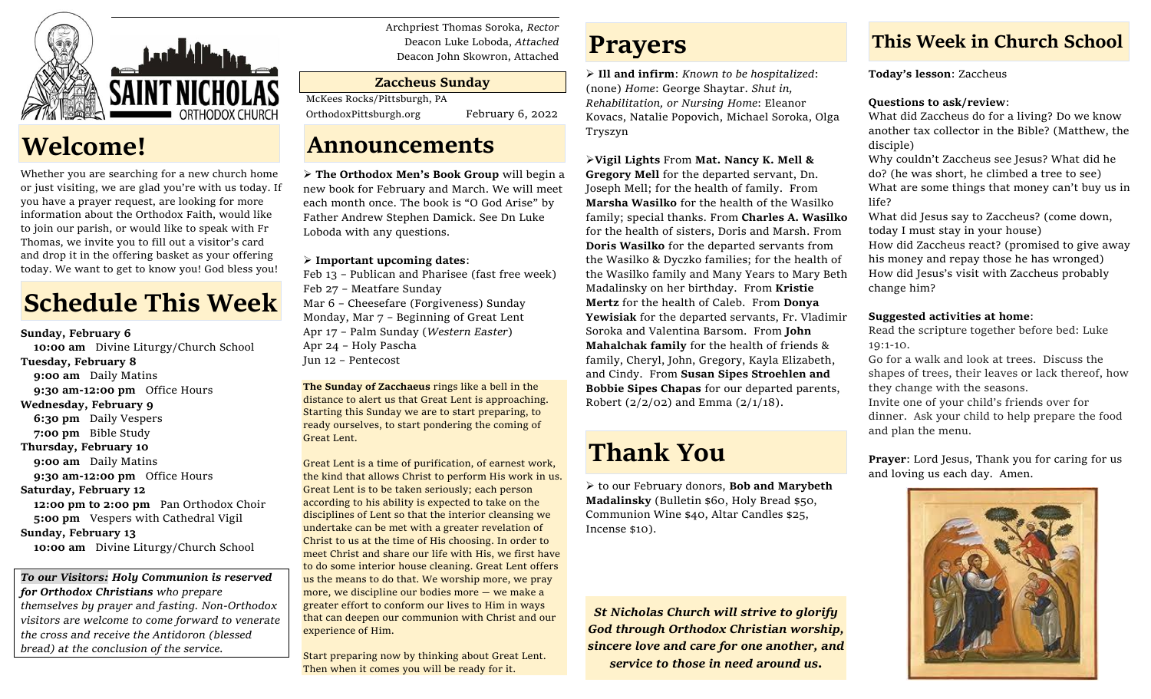

## **Welcome!**

Whether you are searching for a new church home or just visiting, we are glad you're with us today. If you have a prayer request, are looking for more information about the Orthodox Faith, would like to join our parish, or would like to speak with Fr Thomas, we invite you to fill out a visitor's card and drop it in the offering basket as your offering today. We want to get to know you! God bless you!

# **Schedule This Week**

**Sunday, February 6 10:00 am** Divine Liturgy/Church School **Tuesday, February 8** **9:00 am** Daily Matins **9:30 am-12:00 pm** Office Hours **Wednesday, February 9 6:30 pm** Daily Vespers **7:00 pm** Bible Study **Thursday, February 10** **9:00 am** Daily Matins **9:30 am-12:00 pm** Office Hours **Saturday, February 12 12:00 pm to 2:00 pm** Pan Orthodox Choir

 **5:00 pm** Vespers with Cathedral Vigil **Sunday, February 13 10:00 am** Divine Liturgy/Church School

*To our Visitors: Holy Communion is reserved for Orthodox Christians who prepare themselves by prayer and fasting. Non-Orthodox visitors are welcome to come forward to venerate the cross and receive the Antidoron (blessed bread) at the conclusion of the service.*

Archpriest Thomas Soroka, *Rector* Deacon Luke Loboda, *Attached* Deacon John Skowron, Attached

#### **Zaccheus Sunday**

McKees Rocks/Pittsburgh, PA

OrthodoxPittsburgh.org February 6, 2022

### **Announcements**

➢ **The Orthodox Men's Book Group** will begin a new book for February and March. We will meet each month once. The book is "O God Arise" by Father Andrew Stephen Damick. See Dn Luke Loboda with any questions.

#### ➢ **Important upcoming dates**:

Feb 13 – Publican and Pharisee (fast free week) Feb 27 – Meatfare Sunday Mar 6 – Cheesefare (Forgiveness) Sunday Monday, Mar 7 – Beginning of Great Lent Apr 17 – Palm Sunday (*Western Easter*) Apr 24 – Holy Pascha Jun 12 – Pentecost

**The Sunday of Zacchaeus** rings like a bell in the distance to alert us that Great Lent is approaching. Starting this Sunday we are to start preparing, to ready ourselves, to start pondering the coming of Great Lent.

Great Lent is a time of purification, of earnest work, the kind that allows Christ to perform His work in us. Great Lent is to be taken seriously; each person according to his ability is expected to take on the disciplines of Lent so that the interior cleansing we undertake can be met with a greater revelation of Christ to us at the time of His choosing. In order to meet Christ and share our life with His, we first have to do some interior house cleaning. Great Lent offers us the means to do that. We worship more, we pray more, we discipline our bodies more — we make a greater effort to conform our lives to Him in ways that can deepen our communion with Christ and our experience of Him.

Start preparing now by thinking about Great Lent. Then when it comes you will be ready for it.

## **Prayers**

➢ **Ill and infirm**: *Known to be hospitalized*: (none) *Home*: George Shaytar. *Shut in, Rehabilitation, or Nursing Home*: Eleanor Kovacs, Natalie Popovich, Michael Soroka, Olga Tryszyn

#### ➢**Vigil Lights** From **Mat. Nancy K. Mell &**

**Gregory Mell** for the departed servant, Dn. Joseph Mell; for the health of family. From **Marsha Wasilko** for the health of the Wasilko family; special thanks. From **Charles A. Wasilko** for the health of sisters, Doris and Marsh. From **Doris Wasilko** for the departed servants from the Wasilko & Dyczko families; for the health of the Wasilko family and Many Years to Mary Beth Madalinsky on her birthday. From **Kristie Mertz** for the health of Caleb. From **Donya Yewisiak** for the departed servants, Fr. Vladimir Soroka and Valentina Barsom. From **John Mahalchak family** for the health of friends & family, Cheryl, John, Gregory, Kayla Elizabeth, and Cindy. From **Susan Sipes Stroehlen and Bobbie Sipes Chapas** for our departed parents, Robert  $(2/2/02)$  and Emma  $(2/1/18)$ .

# **Thank You**

➢ to our February donors, **Bob and Marybeth Madalinsky** (Bulletin \$60, Holy Bread \$50, Communion Wine \$40, Altar Candles \$25, Incense \$10).

*St Nicholas Church will strive to glorify God through Orthodox Christian worship, sincere love and care for one another, and service to those in need around us.*

### **This Week in Church School**

**Today's lesson**: Zaccheus

#### **Questions to ask/review**:

What did Zaccheus do for a living? Do we know another tax collector in the Bible? (Matthew, the disciple)

Why couldn't Zaccheus see Jesus? What did he do? (he was short, he climbed a tree to see) What are some things that money can't buy us in life?

What did Jesus say to Zaccheus? (come down, today I must stay in your house) How did Zaccheus react? (promised to give away his money and repay those he has wronged) How did Jesus's visit with Zaccheus probably change him?

#### **Suggested activities at home**:

Read the scripture together before bed: Luke 19:1-10.

Go for a walk and look at trees. Discuss the shapes of trees, their leaves or lack thereof, how they change with the seasons.

Invite one of your child's friends over for dinner. Ask your child to help prepare the food and plan the menu.

**Prayer**: Lord Jesus, Thank you for caring for us and loving us each day. Amen.